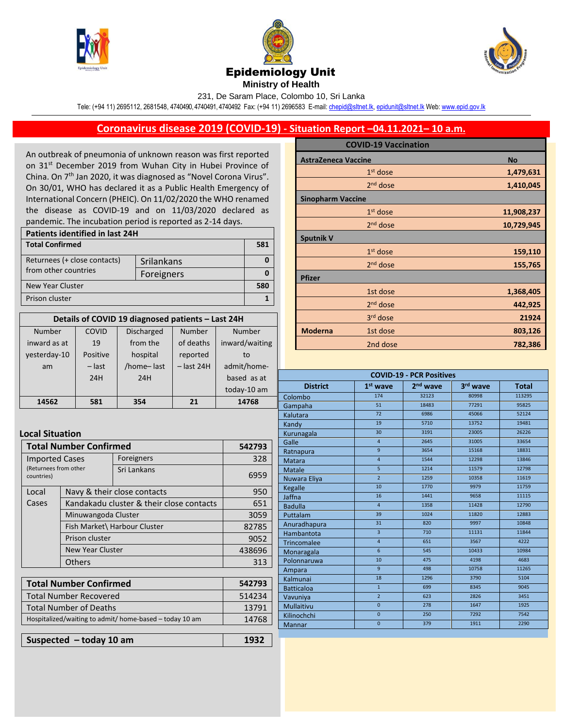





## Epidemiology Unit

**Ministry of Health** 

231, De Saram Place, Colombo 10, Sri Lanka

Tele: (+94 11) 2695112, 2681548, 4740490, 4740491, 4740492 Fax: (+94 11) 2696583 E-mail[: chepid@sltnet.lk,](mailto:chepi@sltnet.lk) [epidunit@sltnet.lk](mailto:epidunit@sltnet.lk) Web[: www.epid.gov.lk](http://www.epid.gov.lk/)

## **Coronavirus disease 2019 (COVID-19) - Situation Report –04.11.2021– 10 a.m.**

An outbreak of pneumonia of unknown reason was first reported on 31<sup>st</sup> December 2019 from Wuhan City in Hubei Province of China. On 7<sup>th</sup> Jan 2020, it was diagnosed as "Novel Corona Virus". On 30/01, WHO has declared it as a Public Health Emergency of International Concern (PHEIC). On 11/02/2020 the WHO renamed the disease as COVID-19 and on 11/03/2020 declared as pandemic. The incubation period is reported as 2-14 days.

| Patients identified in last 24H |            |     |  |
|---------------------------------|------------|-----|--|
| <b>Total Confirmed</b>          |            | 581 |  |
| Returnees (+ close contacts)    | Srilankans |     |  |
| from other countries            | Foreigners |     |  |
| New Year Cluster                |            | 580 |  |
| Prison cluster                  |            |     |  |

| Details of COVID 19 diagnosed patients - Last 24H |          |                   |              |                |
|---------------------------------------------------|----------|-------------------|--------------|----------------|
| Number                                            | COVID    | <b>Discharged</b> | Number       | Number         |
| inward as at                                      | 19       | from the          | of deaths    | inward/waiting |
| yesterday-10                                      | Positive | hospital          | reported     | to             |
| am                                                | $-$ last | /home-last        | $-$ last 24H | admit/home-    |
|                                                   | 24H      | 24H               |              | based as at    |
|                                                   |          |                   |              | today-10 am    |
| 14562                                             | 581      | 354               | 21           | 14768          |

## **Local Situation**

| <b>Total Number Confirmed</b>                                |                                          | 542793                      |        |
|--------------------------------------------------------------|------------------------------------------|-----------------------------|--------|
| <b>Imported Cases</b><br>(Returnees from other<br>countries) |                                          | Foreigners                  | 328    |
|                                                              |                                          | Sri Lankans                 | 6959   |
| Local                                                        |                                          | Navy & their close contacts |        |
| Cases                                                        | Kandakadu cluster & their close contacts |                             | 651    |
|                                                              | Minuwangoda Cluster                      |                             | 3059   |
|                                                              | Fish Market\ Harbour Cluster             |                             | 82785  |
|                                                              | Prison cluster                           |                             | 9052   |
|                                                              | <b>New Year Cluster</b>                  |                             | 438696 |
|                                                              | <b>Others</b>                            |                             | 313    |
|                                                              |                                          |                             |        |

| <b>Total Number Confirmed</b>                           | 542793 |
|---------------------------------------------------------|--------|
| <b>Total Number Recovered</b>                           | 514234 |
| <b>Total Number of Deaths</b>                           | 13791  |
| Hospitalized/waiting to admit/ home-based - today 10 am | 14768  |
|                                                         |        |
| Suspected - today 10 am                                 | 1932   |

|                            | <b>COVID-19 Vaccination</b> |            |
|----------------------------|-----------------------------|------------|
| <b>AstraZeneca Vaccine</b> |                             | <b>No</b>  |
|                            | $1st$ dose                  | 1,479,631  |
|                            | $2nd$ dose                  | 1,410,045  |
| <b>Sinopharm Vaccine</b>   |                             |            |
|                            | $1st$ dose                  | 11,908,237 |
|                            | $2nd$ dose                  | 10,729,945 |
| <b>Sputnik V</b>           |                             |            |
|                            | $1st$ dose                  | 159,110    |
|                            | 2 <sup>nd</sup> dose        | 155,765    |
| <b>Pfizer</b>              |                             |            |
|                            | 1st dose                    | 1,368,405  |
|                            | $2nd$ dose                  | 442,925    |
|                            | 3 <sup>rd</sup> dose        | 21924      |
| <b>Moderna</b>             | 1st dose                    | 803,126    |
|                            | 2nd dose                    | 782,386    |

| <b>COVID-19 - PCR Positives</b> |                 |                      |          |              |
|---------------------------------|-----------------|----------------------|----------|--------------|
| <b>District</b>                 | $1st$ wave      | 2 <sup>nd</sup> wave | 3rd wave | <b>Total</b> |
| Colombo                         | 174             | 32123                | 80998    | 113295       |
| Gampaha                         | 51              | 18483                | 77291    | 95825        |
| Kalutara                        | 72              | 6986                 | 45066    | 52124        |
| Kandy                           | 19              | 5710                 | 13752    | 19481        |
| Kurunagala                      | 30              | 3191                 | 23005    | 26226        |
| Galle                           | $\overline{4}$  | 2645                 | 31005    | 33654        |
| Ratnapura                       | $\overline{9}$  | 3654                 | 15168    | 18831        |
| <b>Matara</b>                   | $\overline{4}$  | 1544                 | 12298    | 13846        |
| <b>Matale</b>                   | 5               | 1214                 | 11579    | 12798        |
| Nuwara Eliya                    | $\overline{2}$  | 1259                 | 10358    | 11619        |
| Kegalle                         | 10              | 1770                 | 9979     | 11759        |
| Jaffna                          | 16              | 1441                 | 9658     | 11115        |
| <b>Badulla</b>                  | $\overline{4}$  | 1358                 | 11428    | 12790        |
| Puttalam                        | 39              | 1024                 | 11820    | 12883        |
| Anuradhapura                    | 31              | 820                  | 9997     | 10848        |
| Hambantota                      | $\overline{3}$  | 710                  | 11131    | 11844        |
| Trincomalee                     | $\overline{4}$  | 651                  | 3567     | 4222         |
| Monaragala                      | $6\overline{6}$ | 545                  | 10433    | 10984        |
| Polonnaruwa                     | 10              | 475                  | 4198     | 4683         |
| Ampara                          | $\overline{9}$  | 498                  | 10758    | 11265        |
| Kalmunai                        | 18              | 1296                 | 3790     | 5104         |
| <b>Batticaloa</b>               | $\mathbf{1}$    | 699                  | 8345     | 9045         |
| Vavuniya                        | $\overline{2}$  | 623                  | 2826     | 3451         |
| <b>Mullaitivu</b>               | $\overline{0}$  | 278                  | 1647     | 1925         |
| Kilinochchi                     | $\overline{0}$  | 250                  | 7292     | 7542         |
| Mannar                          | $\overline{0}$  | 379                  | 1911     | 2290         |